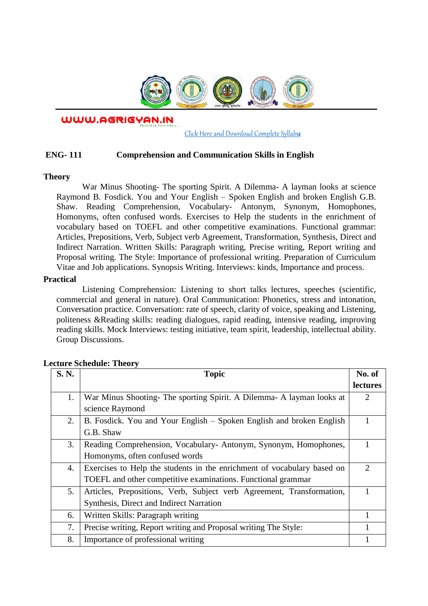

WWW.AGRIGYAN.IN

[Click Here and Download Complete Syllabus](http://agrigyan.in/)

## **ENG- 111 Comprehension and Communication Skills in English**

### **Theory**

 $\overline{a}$ 

War Minus Shooting- The sporting Spirit. A Dilemma- A layman looks at science Raymond B. Fosdick. You and Your English – Spoken English and broken English G.B. Shaw. Reading Comprehension, Vocabulary- Antonym, Synonym, Homophones, Homonyms, often confused words. Exercises to Help the students in the enrichment of vocabulary based on TOEFL and other competitive examinations. Functional grammar: Articles, Prepositions, Verb, Subject verb Agreement, Transformation, Synthesis, Direct and Indirect Narration. Written Skills: Paragraph writing, Precise writing, Report writing and Proposal writing. The Style: Importance of professional writing. Preparation of Curriculum Vitae and Job applications. Synopsis Writing. Interviews: kinds, Importance and process.

#### **Practical**

Listening Comprehension: Listening to short talks lectures, speeches (scientific, commercial and general in nature). Oral Communication: Phonetics, stress and intonation, Conversation practice. Conversation: rate of speech, clarity of voice, speaking and Listening, politeness &Reading skills: reading dialogues, rapid reading, intensive reading, improving reading skills. Mock Interviews: testing initiative, team spirit, leadership, intellectual ability. Group Discussions.

| S. N. | <b>Topic</b>                                                            | No. of                      |
|-------|-------------------------------------------------------------------------|-----------------------------|
|       |                                                                         | lectures                    |
| 1.    | War Minus Shooting-The sporting Spirit. A Dilemma-A layman looks at     | 2                           |
|       | science Raymond                                                         |                             |
| 2.    | B. Fosdick. You and Your English – Spoken English and broken English    |                             |
|       | G.B. Shaw                                                               |                             |
| 3.    | Reading Comprehension, Vocabulary-Antonym, Synonym, Homophones,         |                             |
|       | Homonyms, often confused words                                          |                             |
| 4.    | Exercises to Help the students in the enrichment of vocabulary based on | $\mathcal{D}_{\mathcal{L}}$ |
|       | TOEFL and other competitive examinations. Functional grammar            |                             |
| 5.    | Articles, Prepositions, Verb, Subject verb Agreement, Transformation,   |                             |
|       | Synthesis, Direct and Indirect Narration                                |                             |
| 6.    | Written Skills: Paragraph writing                                       |                             |
| 7.    | Precise writing, Report writing and Proposal writing The Style:         |                             |
| 8.    | Importance of professional writing                                      |                             |

## **Lecture Schedule: Theory**